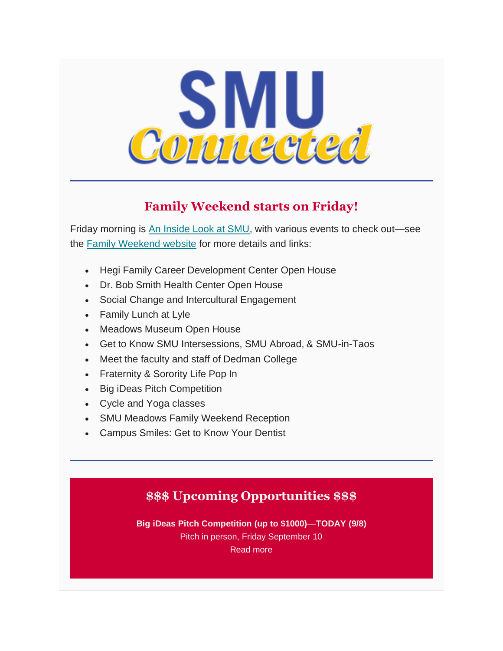

## **Family Weekend starts on Friday!**

Friday morning is [An Inside Look at SMU,](http://smusf.squarespace.com/insidelook) with various events to check out—see the [Family Weekend website](http://smusf.squarespace.com/familyweekend) for more details and links:

- Hegi Family Career Development Center Open House
- Dr. Bob Smith Health Center Open House
- Social Change and Intercultural Engagement
- Family Lunch at Lyle
- Meadows Museum Open House
- Get to Know SMU Intersessions, SMU Abroad, & SMU-in-Taos
- Meet the faculty and staff of Dedman College
- Fraternity & Sorority Life Pop In
- Big iDeas Pitch Competition
- Cycle and Yoga classes
- SMU Meadows Family Weekend Reception
- Campus Smiles: Get to Know Your Dentist

# **\$\$\$ Upcoming Opportunities \$\$\$**

**Big iDeas Pitch Competition (up to \$1000)**—**TODAY (9/8)**

Pitch in person, Friday September 10

[Read more](https://www.smu.edu/Provost/Engaged-Learning/Entrepreneurship/BigiDeas/How-To-Apply)